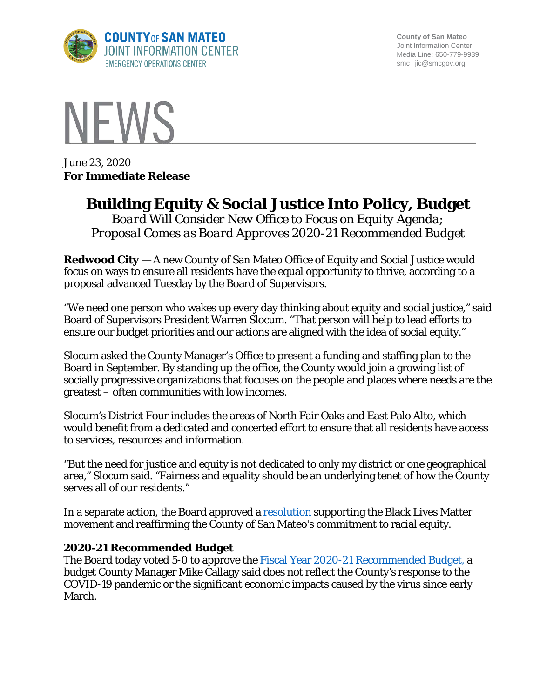

**County of San Mateo** Joint Information Center Media Line: 650-779-9939 smc\_ jic@smcgov.org



June 23, 2020 **For Immediate Release**

## **Building Equity & Social Justice Into Policy, Budget**

*Board Will Consider New Office to Focus on Equity Agenda; Proposal Comes as Board Approves 2020-21 Recommended Budget*

**Redwood City** — A new County of San Mateo Office of Equity and Social Justice would focus on ways to ensure all residents have the equal opportunity to thrive, according to a proposal advanced Tuesday by the Board of Supervisors.

"We need one person who wakes up every day thinking about equity and social justice," said Board of Supervisors President Warren Slocum. "That person will help to lead efforts to ensure our budget priorities and our actions are aligned with the idea of social equity."

Slocum asked the County Manager's Office to present a funding and staffing plan to the Board in September. By standing up the office, the County would join a growing list of socially progressive organizations that focuses on the people and places where needs are the greatest – often communities with low incomes.

Slocum's District Four includes the areas of North Fair Oaks and East Palo Alto, which would benefit from a dedicated and concerted effort to ensure that all residents have access to services, resources and information.

"But the need for justice and equity is not dedicated to only my district or one geographical area," Slocum said. "Fairness and equality should be an underlying tenet of how the County serves all of our residents."

In a separate action, the Board approved a [resolution](https://sanmateocounty.legistar.com/LegislationDetail.aspx?ID=4577131&GUID=25995C04-3750-4AFC-AF8E-633C528C8188) supporting the Black Lives Matter movement and reaffirming the County of San Mateo's commitment to racial equity.

## **2020-21 Recommended Budget**

The Board today voted 5-0 to approve the [Fiscal Year 2020-21 Recommended Budget,](https://sanmateocounty.legistar.com/LegislationDetail.aspx?ID=4577101&GUID=C95098A9-6214-4B42-8907-F8DF5CE58EA7&FullText=1) a budget County Manager Mike Callagy said does not reflect the County's response to the COVID-19 pandemic or the significant economic impacts caused by the virus since early March.